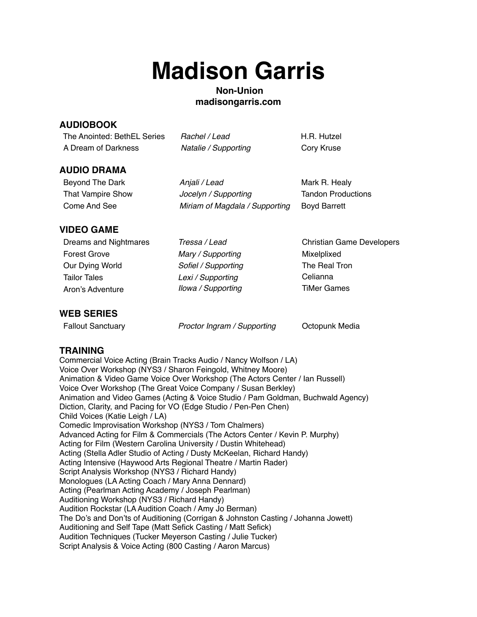# **Madison Garris**

## **Non-Union madisongarris.com**

## **AUDIOBOOK**

| The Anointed: BethEL Series | Rachel / Lead        | H.R. Hutzel |
|-----------------------------|----------------------|-------------|
| A Dream of Darkness         | Natalie / Supporting | Cory Kruse  |

### **AUDIO DRAMA**

Beyond The Dark *Anjali / Lead* Mark R. Healy That Vampire Show *Jocelyn / Supporting* Tandon Productions Come And See *Miriam of Magdala / Supporting* Boyd Barrett

# **VIDEO GAME**

Forest Grove *Mary / Supporting* Mixelplixed Our Dying World *Sofiel / Supporting* The Real Tron Tailor Tales *Lexi / Supporting* Celianna Aron's Adventure *Ilowa / Supporting* TiMer Games

Dreams and Nightmares *Tressa / Lead* Christian Game Developers

# **WEB SERIES**

Fallout Sanctuary *Proctor Ingram / Supporting* Octopunk Media

## **TRAINING**

Commercial Voice Acting (Brain Tracks Audio / Nancy Wolfson / LA) Voice Over Workshop (NYS3 / Sharon Feingold, Whitney Moore) Animation & Video Game Voice Over Workshop (The Actors Center / Ian Russell) Voice Over Workshop (The Great Voice Company / Susan Berkley) Animation and Video Games (Acting & Voice Studio / Pam Goldman, Buchwald Agency) Diction, Clarity, and Pacing for VO (Edge Studio / Pen-Pen Chen) Child Voices (Katie Leigh / LA) Comedic Improvisation Workshop (NYS3 / Tom Chalmers) Advanced Acting for Film & Commercials (The Actors Center / Kevin P. Murphy) Acting for Film (Western Carolina University / Dustin Whitehead) Acting (Stella Adler Studio of Acting / Dusty McKeelan, Richard Handy) Acting Intensive (Haywood Arts Regional Theatre / Martin Rader) Script Analysis Workshop (NYS3 / Richard Handy) Monologues (LA Acting Coach / Mary Anna Dennard) Acting (Pearlman Acting Academy / Joseph Pearlman) Auditioning Workshop (NYS3 / Richard Handy) Audition Rockstar (LA Audition Coach / Amy Jo Berman) The Do's and Don'ts of Auditioning (Corrigan & Johnston Casting / Johanna Jowett) Auditioning and Self Tape (Matt Sefick Casting / Matt Sefick) Audition Techniques (Tucker Meyerson Casting / Julie Tucker) Script Analysis & Voice Acting (800 Casting / Aaron Marcus)